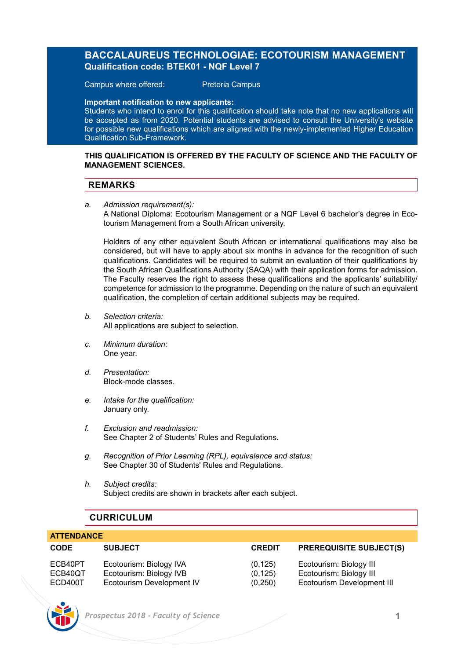# **BACCALAUREUS TECHNOLOGIAE: ECOTOURISM MANAGEMENT Qualification code: BTEK01 - NQF Level 7**

Campus where offered: Pretoria Campus

**Important notification to new applicants:** 

Students who intend to enrol for this qualification should take note that no new applications will be accepted as from 2020. Potential students are advised to consult the University's website for possible new qualifications which are aligned with the newly-implemented Higher Education Qualification Sub-Framework.

### **THIS QUALIFICATION IS OFFERED BY THE FACULTY OF SCIENCE AND THE FACULTY OF MANAGEMENT SCIENCES.**

# **REMARKS**

*a. Admission requirement(s):* 

A National Diploma: Ecotourism Management or a NQF Level 6 bachelor's degree in Ecotourism Management from a South African university.

Holders of any other equivalent South African or international qualifications may also be considered, but will have to apply about six months in advance for the recognition of such qualifications. Candidates will be required to submit an evaluation of their qualifications by the South African Qualifications Authority (SAQA) with their application forms for admission. The Faculty reserves the right to assess these qualifications and the applicants' suitability/ competence for admission to the programme. Depending on the nature of such an equivalent qualification, the completion of certain additional subjects may be required.

- *b. Selection criteria:* All applications are subject to selection.
- *c. Minimum duration:* One year.
- *d. Presentation:* Block-mode classes.
- *e. Intake for the qualification:* January only.
- *f. Exclusion and readmission:* See Chapter 2 of Students' Rules and Regulations.
- *g. Recognition of Prior Learning (RPL), equivalence and status:* See Chapter 30 of Students' Rules and Regulations.
- *h. Subject credits:* Subject credits are shown in brackets after each subject.

# **CURRICULUM**

## **ATTENDANCE**

| <b>CODE</b> | <b>SUBJECT</b>            | <b>CREDIT</b> | <b>PREREQUISITE SUBJECT(S)</b> |
|-------------|---------------------------|---------------|--------------------------------|
| ECB40PT     | Ecotourism: Biology IVA   | (0.125)       | Ecotourism: Biology III        |
| ECB40QT     | Ecotourism: Biology IVB   | (0.125)       | Ecotourism: Biology III        |
| ECD400T     | Ecotourism Development IV | (0, 250)      | Ecotourism Development III     |